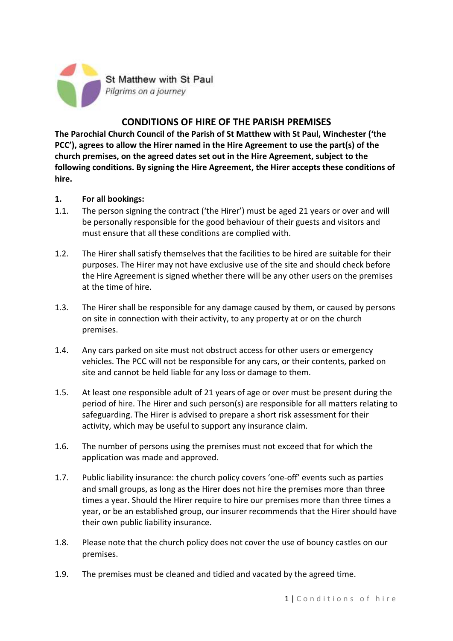

# **CONDITIONS OF HIRE OF THE PARISH PREMISES**

**The Parochial Church Council of the Parish of St Matthew with St Paul, Winchester ('the PCC'), agrees to allow the Hirer named in the Hire Agreement to use the part(s) of the church premises, on the agreed dates set out in the Hire Agreement, subject to the following conditions. By signing the Hire Agreement, the Hirer accepts these conditions of hire.**

### **1. For all bookings:**

- 1.1. The person signing the contract ('the Hirer') must be aged 21 years or over and will be personally responsible for the good behaviour of their guests and visitors and must ensure that all these conditions are complied with.
- 1.2. The Hirer shall satisfy themselves that the facilities to be hired are suitable for their purposes. The Hirer may not have exclusive use of the site and should check before the Hire Agreement is signed whether there will be any other users on the premises at the time of hire.
- 1.3. The Hirer shall be responsible for any damage caused by them, or caused by persons on site in connection with their activity, to any property at or on the church premises.
- 1.4. Any cars parked on site must not obstruct access for other users or emergency vehicles. The PCC will not be responsible for any cars, or their contents, parked on site and cannot be held liable for any loss or damage to them.
- 1.5. At least one responsible adult of 21 years of age or over must be present during the period of hire. The Hirer and such person(s) are responsible for all matters relating to safeguarding. The Hirer is advised to prepare a short risk assessment for their activity, which may be useful to support any insurance claim.
- 1.6. The number of persons using the premises must not exceed that for which the application was made and approved.
- 1.7. Public liability insurance: the church policy covers 'one-off' events such as parties and small groups, as long as the Hirer does not hire the premises more than three times a year. Should the Hirer require to hire our premises more than three times a year, or be an established group, our insurer recommends that the Hirer should have their own public liability insurance.
- 1.8. Please note that the church policy does not cover the use of bouncy castles on our premises.
- 1.9. The premises must be cleaned and tidied and vacated by the agreed time.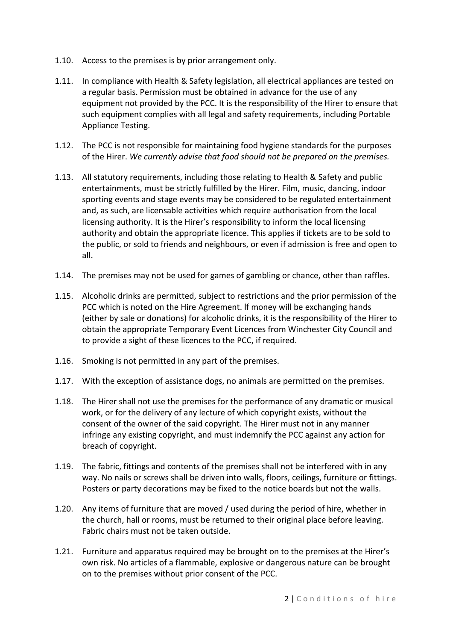- 1.10. Access to the premises is by prior arrangement only.
- 1.11. In compliance with Health & Safety legislation, all electrical appliances are tested on a regular basis. Permission must be obtained in advance for the use of any equipment not provided by the PCC. It is the responsibility of the Hirer to ensure that such equipment complies with all legal and safety requirements, including Portable Appliance Testing.
- 1.12. The PCC is not responsible for maintaining food hygiene standards for the purposes of the Hirer. *We currently advise that food should not be prepared on the premises.*
- 1.13. All statutory requirements, including those relating to Health & Safety and public entertainments, must be strictly fulfilled by the Hirer. Film, music, dancing, indoor sporting events and stage events may be considered to be regulated entertainment and, as such, are licensable activities which require authorisation from the local licensing authority. It is the Hirer's responsibility to inform the local licensing authority and obtain the appropriate licence. This applies if tickets are to be sold to the public, or sold to friends and neighbours, or even if admission is free and open to all.
- 1.14. The premises may not be used for games of gambling or chance, other than raffles.
- 1.15. Alcoholic drinks are permitted, subject to restrictions and the prior permission of the PCC which is noted on the Hire Agreement. lf money will be exchanging hands (either by sale or donations) for alcoholic drinks, it is the responsibility of the Hirer to obtain the appropriate Temporary Event Licences from Winchester City Council and to provide a sight of these licences to the PCC, if required.
- 1.16. Smoking is not permitted in any part of the premises.
- 1.17. With the exception of assistance dogs, no animals are permitted on the premises.
- 1.18. The Hirer shall not use the premises for the performance of any dramatic or musical work, or for the delivery of any lecture of which copyright exists, without the consent of the owner of the said copyright. The Hirer must not in any manner infringe any existing copyright, and must indemnify the PCC against any action for breach of copyright.
- 1.19. The fabric, fittings and contents of the premises shall not be interfered with in any way. No nails or screws shall be driven into walls, floors, ceilings, furniture or fittings. Posters or party decorations may be fixed to the notice boards but not the walls.
- 1.20. Any items of furniture that are moved / used during the period of hire, whether in the church, hall or rooms, must be returned to their original place before leaving. Fabric chairs must not be taken outside.
- 1.21. Furniture and apparatus required may be brought on to the premises at the Hirer's own risk. No articles of a flammable, explosive or dangerous nature can be brought on to the premises without prior consent of the PCC.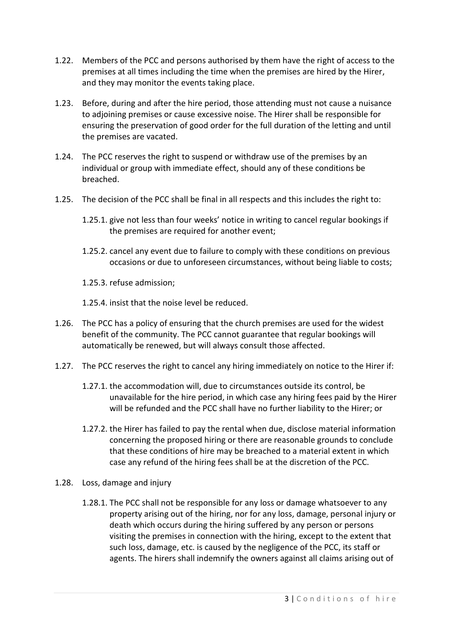- 1.22. Members of the PCC and persons authorised by them have the right of access to the premises at all times including the time when the premises are hired by the Hirer, and they may monitor the events taking place.
- 1.23. Before, during and after the hire period, those attending must not cause a nuisance to adjoining premises or cause excessive noise. The Hirer shall be responsible for ensuring the preservation of good order for the full duration of the letting and until the premises are vacated.
- 1.24. The PCC reserves the right to suspend or withdraw use of the premises by an individual or group with immediate effect, should any of these conditions be breached.
- 1.25. The decision of the PCC shall be final in all respects and this includes the right to:
	- 1.25.1. give not less than four weeks' notice in writing to cancel regular bookings if the premises are required for another event;
	- 1.25.2. cancel any event due to failure to comply with these conditions on previous occasions or due to unforeseen circumstances, without being liable to costs;
	- 1.25.3. refuse admission;
	- 1.25.4. insist that the noise level be reduced.
- 1.26. The PCC has a policy of ensuring that the church premises are used for the widest benefit of the community. The PCC cannot guarantee that regular bookings will automatically be renewed, but will always consult those affected.
- 1.27. The PCC reserves the right to cancel any hiring immediately on notice to the Hirer if:
	- 1.27.1. the accommodation will, due to circumstances outside its control, be unavailable for the hire period, in which case any hiring fees paid by the Hirer will be refunded and the PCC shall have no further liability to the Hirer; or
	- 1.27.2. the Hirer has failed to pay the rental when due, disclose material information concerning the proposed hiring or there are reasonable grounds to conclude that these conditions of hire may be breached to a material extent in which case any refund of the hiring fees shall be at the discretion of the PCC.
- 1.28. Loss, damage and injury
	- 1.28.1. The PCC shall not be responsible for any loss or damage whatsoever to any property arising out of the hiring, nor for any loss, damage, personal injury or death which occurs during the hiring suffered by any person or persons visiting the premises in connection with the hiring, except to the extent that such loss, damage, etc. is caused by the negligence of the PCC, its staff or agents. The hirers shall indemnify the owners against all claims arising out of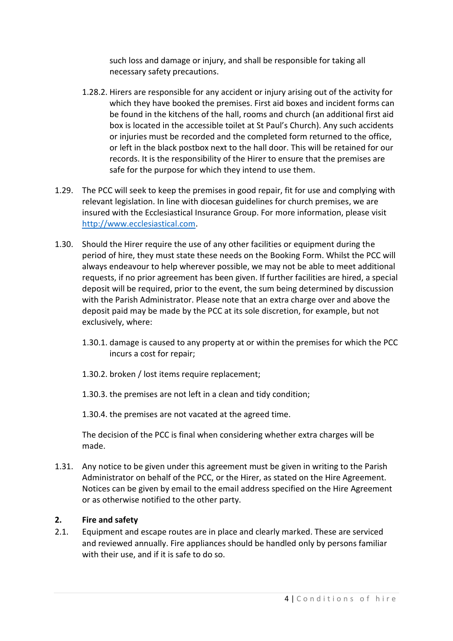such loss and damage or injury, and shall be responsible for taking all necessary safety precautions.

- 1.28.2. Hirers are responsible for any accident or injury arising out of the activity for which they have booked the premises. First aid boxes and incident forms can be found in the kitchens of the hall, rooms and church (an additional first aid box is located in the accessible toilet at St Paul's Church). Any such accidents or injuries must be recorded and the completed form returned to the office, or left in the black postbox next to the hall door. This will be retained for our records. It is the responsibility of the Hirer to ensure that the premises are safe for the purpose for which they intend to use them.
- 1.29. The PCC will seek to keep the premises in good repair, fit for use and complying with relevant legislation. In line with diocesan guidelines for church premises, we are insured with the Ecclesiastical Insurance Group. For more information, please visit [http://www.ecclesiastical.com.](http://www.ecclesiastical.com/)
- 1.30. Should the Hirer require the use of any other facilities or equipment during the period of hire, they must state these needs on the Booking Form. Whilst the PCC will always endeavour to help wherever possible, we may not be able to meet additional requests, if no prior agreement has been given. If further facilities are hired, a special deposit will be required, prior to the event, the sum being determined by discussion with the Parish Administrator. Please note that an extra charge over and above the deposit paid may be made by the PCC at its sole discretion, for example, but not exclusively, where:
	- 1.30.1. damage is caused to any property at or within the premises for which the PCC incurs a cost for repair;
	- 1.30.2. broken / lost items require replacement;
	- 1.30.3. the premises are not left in a clean and tidy condition;
	- 1.30.4. the premises are not vacated at the agreed time.

The decision of the PCC is final when considering whether extra charges will be made.

1.31. Any notice to be given under this agreement must be given in writing to the Parish Administrator on behalf of the PCC, or the Hirer, as stated on the Hire Agreement. Notices can be given by email to the email address specified on the Hire Agreement or as otherwise notified to the other party.

## **2. Fire and safety**

2.1. Equipment and escape routes are in place and clearly marked. These are serviced and reviewed annually. Fire appliances should be handled only by persons familiar with their use, and if it is safe to do so.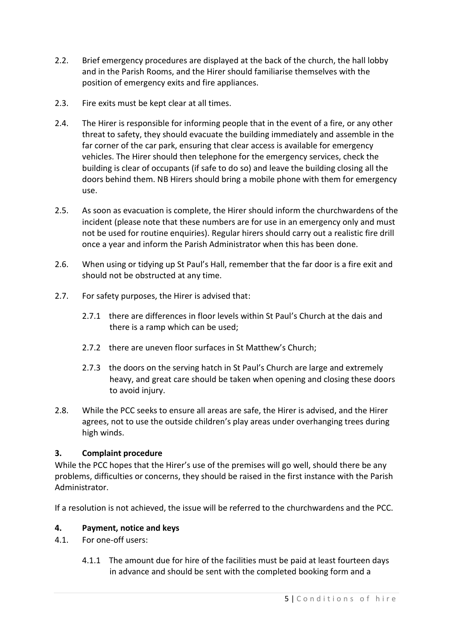- 2.2. Brief emergency procedures are displayed at the back of the church, the hall lobby and in the Parish Rooms, and the Hirer should familiarise themselves with the position of emergency exits and fire appliances.
- 2.3. Fire exits must be kept clear at all times.
- 2.4. The Hirer is responsible for informing people that in the event of a fire, or any other threat to safety, they should evacuate the building immediately and assemble in the far corner of the car park, ensuring that clear access is available for emergency vehicles. The Hirer should then telephone for the emergency services, check the building is clear of occupants (if safe to do so) and leave the building closing all the doors behind them. NB Hirers should bring a mobile phone with them for emergency use.
- 2.5. As soon as evacuation is complete, the Hirer should inform the churchwardens of the incident (please note that these numbers are for use in an emergency only and must not be used for routine enquiries). Regular hirers should carry out a realistic fire drill once a year and inform the Parish Administrator when this has been done.
- 2.6. When using or tidying up St Paul's Hall, remember that the far door is a fire exit and should not be obstructed at any time.
- 2.7. For safety purposes, the Hirer is advised that:
	- 2.7.1 there are differences in floor levels within St Paul's Church at the dais and there is a ramp which can be used;
	- 2.7.2 there are uneven floor surfaces in St Matthew's Church;
	- 2.7.3 the doors on the serving hatch in St Paul's Church are large and extremely heavy, and great care should be taken when opening and closing these doors to avoid injury.
- 2.8. While the PCC seeks to ensure all areas are safe, the Hirer is advised, and the Hirer agrees, not to use the outside children's play areas under overhanging trees during high winds.

## **3. Complaint procedure**

While the PCC hopes that the Hirer's use of the premises will go well, should there be any problems, difficulties or concerns, they should be raised in the first instance with the Parish Administrator.

If a resolution is not achieved, the issue will be referred to the churchwardens and the PCC.

## **4. Payment, notice and keys**

- 4.1. For one-off users:
	- 4.1.1 The amount due for hire of the facilities must be paid at least fourteen days in advance and should be sent with the completed booking form and a